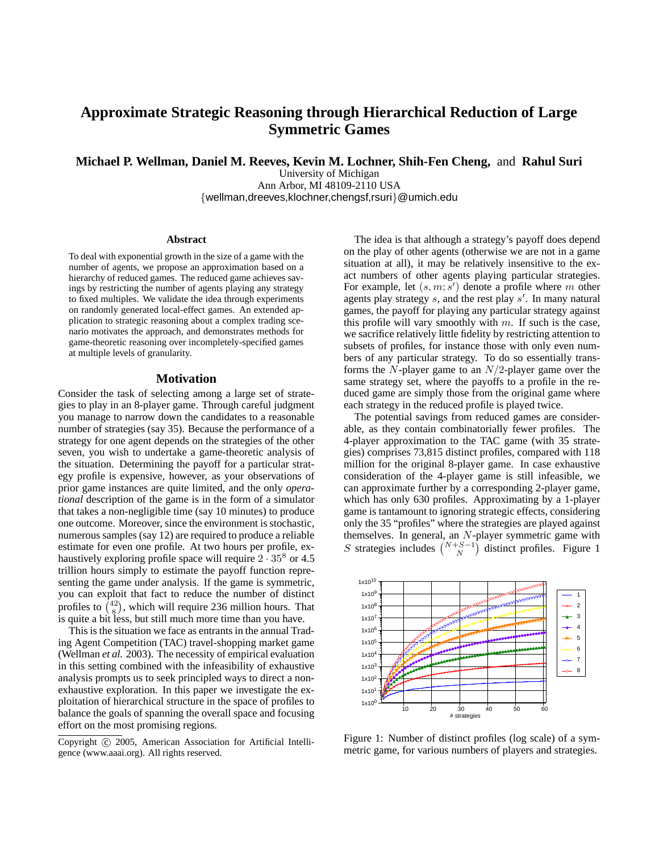# **Approximate Strategic Reasoning through Hierarchical Reduction of Large Symmetric Games**

**Michael P. Wellman, Daniel M. Reeves, Kevin M. Lochner, Shih-Fen Cheng,** and **Rahul Suri**

University of Michigan Ann Arbor, MI 48109-2110 USA {wellman,dreeves,klochner,chengsf,rsuri}@umich.edu

#### **Abstract**

To deal with exponential growth in the size of a game with the number of agents, we propose an approximation based on a hierarchy of reduced games. The reduced game achieves savings by restricting the number of agents playing any strategy to fixed multiples. We validate the idea through experiments on randomly generated local-effect games. An extended application to strategic reasoning about a complex trading scenario motivates the approach, and demonstrates methods for game-theoretic reasoning over incompletely-specified games at multiple levels of granularity.

## **Motivation**

Consider the task of selecting among a large set of strategies to play in an 8-player game. Through careful judgment you manage to narrow down the candidates to a reasonable number of strategies (say 35). Because the performance of a strategy for one agent depends on the strategies of the other seven, you wish to undertake a game-theoretic analysis of the situation. Determining the payoff for a particular strategy profile is expensive, however, as your observations of prior game instances are quite limited, and the only *operational* description of the game is in the form of a simulator that takes a non-negligible time (say 10 minutes) to produce one outcome. Moreover, since the environment is stochastic, numerous samples (say 12) are required to produce a reliable estimate for even one profile. At two hours per profile, exhaustively exploring profile space will require  $2 \cdot 35^8$  or 4.5 trillion hours simply to estimate the payoff function representing the game under analysis. If the game is symmetric, you can exploit that fact to reduce the number of distinct profiles to  $\binom{42}{8}$ , which will require 236 million hours. That is quite a bit less, but still much more time than you have.

This is the situation we face as entrants in the annual Trading Agent Competition (TAC) travel-shopping market game (Wellman *et al.* 2003). The necessity of empirical evaluation in this setting combined with the infeasibility of exhaustive analysis prompts us to seek principled ways to direct a nonexhaustive exploration. In this paper we investigate the exploitation of hierarchical structure in the space of profiles to balance the goals of spanning the overall space and focusing effort on the most promising regions.

The idea is that although a strategy's payoff does depend on the play of other agents (otherwise we are not in a game situation at all), it may be relatively insensitive to the exact numbers of other agents playing particular strategies. For example, let  $(s, m; s')$  denote a profile where m other agents play strategy  $s$ , and the rest play  $s'$ . In many natural games, the payoff for playing any particular strategy against this profile will vary smoothly with  $m$ . If such is the case, we sacrifice relatively little fidelity by restricting attention to subsets of profiles, for instance those with only even numbers of any particular strategy. To do so essentially transforms the  $N$ -player game to an  $N/2$ -player game over the same strategy set, where the payoffs to a profile in the reduced game are simply those from the original game where each strategy in the reduced profile is played twice.

The potential savings from reduced games are considerable, as they contain combinatorially fewer profiles. The 4-player approximation to the TAC game (with 35 strategies) comprises 73,815 distinct profiles, compared with 118 million for the original 8-player game. In case exhaustive consideration of the 4-player game is still infeasible, we can approximate further by a corresponding 2-player game, which has only 630 profiles. Approximating by a 1-player game is tantamount to ignoring strategic effects, considering only the 35 "profiles" where the strategies are played against themselves. In general, an N-player symmetric game with S strategies includes  $\binom{N+S-1}{N}$  distinct profiles. Figure 1



Figure 1: Number of distinct profiles (log scale) of a symmetric game, for various numbers of players and strategies.

Copyright (c) 2005, American Association for Artificial Intelligence (www.aaai.org). All rights reserved.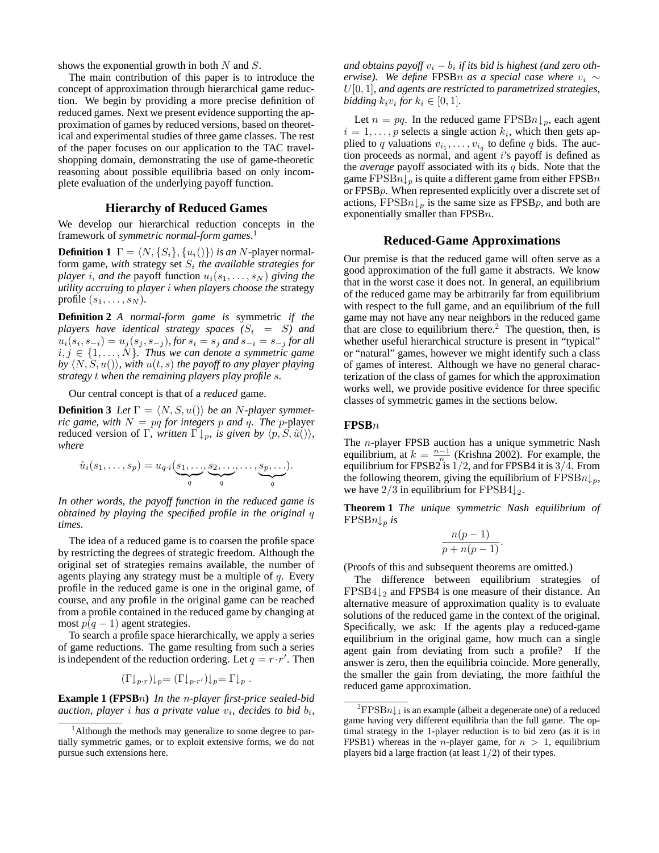shows the exponential growth in both N and S.

The main contribution of this paper is to introduce the concept of approximation through hierarchical game reduction. We begin by providing a more precise definition of reduced games. Next we present evidence supporting the approximation of games by reduced versions, based on theoretical and experimental studies of three game classes. The rest of the paper focuses on our application to the TAC travelshopping domain, demonstrating the use of game-theoretic reasoning about possible equilibria based on only incomplete evaluation of the underlying payoff function.

### **Hierarchy of Reduced Games**

We develop our hierarchical reduction concepts in the framework of *symmetric normal-form games*. 1

**Definition 1**  $\Gamma = \langle N, \{S_i\}, \{u_i(\)\}\rangle$  *is an* N-player normalform game, with strategy set  $S_i$  the *available strategies for player i, and the* payoff function  $u_i(s_1, \ldots, s_N)$  *giving the utility accruing to player* i *when players choose the* strategy profile  $(s_1, \ldots, s_N)$ .

**Definition 2** *A normal-form game is* symmetric *if the players have identical strategy spaces*  $(S_i = S)$  *and*  $u_i(s_i, s_{-i}) = u_j(s_j, s_{-j})$ , for  $s_i = s_j$  and  $s_{-i} = s_{-j}$  for all  $i, j \in \{1, \ldots, N\}$ . Thus we can denote a symmetric game *by*  $\langle N, S, u(\mathbf{)}\rangle$ *, with*  $u(t, s)$  *the payoff to any player playing strategy* t *when the remaining players play profile* s*.*

Our central concept is that of a *reduced* game.

**Definition 3** *Let*  $\Gamma = \langle N, S, u(\mathbf{r}) \rangle$  *be an N*-player symmet*ric* game, with  $N = pq$  *for integers* p and q. *The* p-player reduced version of Γ, *written*  $\Gamma \downarrow_p$ *, is given by*  $\langle p, S, \hat{u} \rangle$ ; *where*

$$
\hat{u}_i(s_1,\ldots,s_p) = u_{q \cdot i}(\underbrace{s_1,\ldots,s_2,\ldots,\ldots,s_p,\ldots}_{q}).
$$

*In other words, the payoff function in the reduced game is obtained by playing the specified profile in the original* q *times.*

The idea of a reduced game is to coarsen the profile space by restricting the degrees of strategic freedom. Although the original set of strategies remains available, the number of agents playing any strategy must be a multiple of  $q$ . Every profile in the reduced game is one in the original game, of course, and any profile in the original game can be reached from a profile contained in the reduced game by changing at most  $p(q-1)$  agent strategies.

To search a profile space hierarchically, we apply a series of game reductions. The game resulting from such a series is independent of the reduction ordering. Let  $q = r \cdot r'$ . Then

$$
(\Gamma \downarrow_{p \cdot r}) \downarrow_p = (\Gamma \downarrow_{p \cdot r'}) \downarrow_p = \Gamma \downarrow_p.
$$

**Example 1 (FPSB**n**)** *In the* n*-player first-price sealed-bid auction, player i has a private value*  $v_i$ *, decides to bid*  $b_i$ *,* 

 $a$ nd  $o$ btains  $payoff v_i - b_i$  if its bid is highest (and zero  $o$ th*erwise).* We define FPSBn as a special case where  $v_i \sim$ U[0, 1]*, and agents are restricted to parametrized strategies, bidding*  $k_i v_i$  *for*  $k_i \in [0, 1]$ *.* 

Let  $n = pq$ . In the reduced game FPSB $n \downarrow_p$ , each agent  $i = 1, \ldots, p$  selects a single action  $k_i$ , which then gets applied to q valuations  $v_{i_1}, \ldots, v_{i_q}$  to define q bids. The auction proceeds as normal, and agent  $i$ 's payoff is defined as the *average* payoff associated with its q bids. Note that the game FPSB $n \downarrow_p$  is quite a different game from either FPSB $n$ or FPSBp. When represented explicitly over a discrete set of actions, FPSB $n \downarrow_p$  is the same size as FPSB $p$ , and both are exponentially smaller than  $FPSBn$ .

#### **Reduced-Game Approximations**

Our premise is that the reduced game will often serve as a good approximation of the full game it abstracts. We know that in the worst case it does not. In general, an equilibrium of the reduced game may be arbitrarily far from equilibrium with respect to the full game, and an equilibrium of the full game may not have any near neighbors in the reduced game that are close to equilibrium there.<sup>2</sup> The question, then, is whether useful hierarchical structure is present in "typical" or "natural" games, however we might identify such a class of games of interest. Although we have no general characterization of the class of games for which the approximation works well, we provide positive evidence for three specific classes of symmetric games in the sections below.

# **FPSB**n

The n-player FPSB auction has a unique symmetric Nash equilibrium, at  $k = \frac{n-1}{n}$  (Krishna 2002). For example, the equilibrium for FPSB2 is  $1/2$ , and for FPSB4 it is  $3/4$ . From the following theorem, giving the equilibrium of  $\text{FPSB}_n\downarrow_p$ , we have  $2/3$  in equilibrium for FPSB4 $\downarrow$ <sub>2</sub>.

**Theorem 1** *The unique symmetric Nash equilibrium of* FPSBn↓<sup>p</sup> *is*

$$
\frac{n(p-1)}{p+n(p-1)}.
$$

(Proofs of this and subsequent theorems are omitted.)

The difference between equilibrium strategies of  $FPSB4\downarrow_2$  and FPSB4 is one measure of their distance. An alternative measure of approximation quality is to evaluate solutions of the reduced game in the context of the original. Specifically, we ask: If the agents play a reduced-game equilibrium in the original game, how much can a single agent gain from deviating from such a profile? If the answer is zero, then the equilibria coincide. More generally, the smaller the gain from deviating, the more faithful the reduced game approximation.

<sup>&</sup>lt;sup>1</sup>Although the methods may generalize to some degree to partially symmetric games, or to exploit extensive forms, we do not pursue such extensions here.

 ${}^{2}$ FPSB $n\downarrow$ <sub>1</sub> is an example (albeit a degenerate one) of a reduced game having very different equilibria than the full game. The optimal strategy in the 1-player reduction is to bid zero (as it is in FPSB1) whereas in the *n*-player game, for  $n > 1$ , equilibrium players bid a large fraction (at least  $1/2$ ) of their types.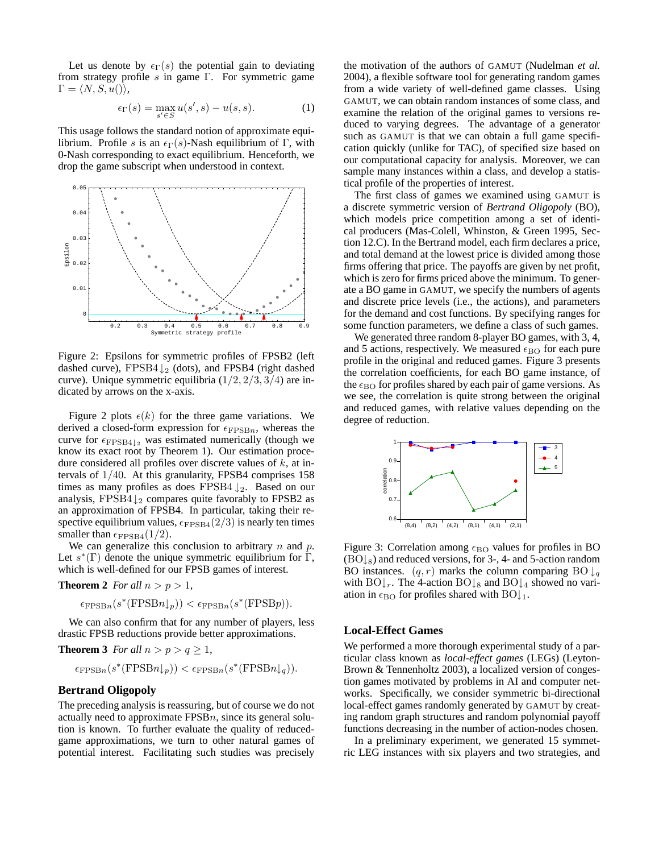Let us denote by  $\epsilon_{\Gamma}(s)$  the potential gain to deviating from strategy profile  $s$  in game Γ. For symmetric game  $\Gamma = \langle N, S, u(\cdot) \rangle,$ 

$$
\epsilon_{\Gamma}(s) = \max_{s' \in S} u(s', s) - u(s, s). \tag{1}
$$

This usage follows the standard notion of approximate equilibrium. Profile s is an  $\epsilon_{\Gamma}(s)$ -Nash equilibrium of Γ, with 0-Nash corresponding to exact equilibrium. Henceforth, we drop the game subscript when understood in context.



Figure 2: Epsilons for symmetric profiles of FPSB2 (left dashed curve),  $FPSB4 \downarrow_2$  (dots), and FPSB4 (right dashed curve). Unique symmetric equilibria  $(1/2, 2/3, 3/4)$  are indicated by arrows on the x-axis.

Figure 2 plots  $\epsilon(k)$  for the three game variations. We derived a closed-form expression for  $\epsilon_{\text{FPSB}n}$ , whereas the curve for  $\epsilon_{\text{FPSB4}\downarrow_2}$  was estimated numerically (though we know its exact root by Theorem 1). Our estimation procedure considered all profiles over discrete values of  $k$ , at intervals of 1/40. At this granularity, FPSB4 comprises 158 times as many profiles as does FPSB4  $\downarrow_2$ . Based on our analysis, FPSB4 $\downarrow$ <sub>2</sub> compares quite favorably to FPSB2 as an approximation of FPSB4. In particular, taking their respective equilibrium values,  $\epsilon_{\text{FPSB4}}(2/3)$  is nearly ten times smaller than  $\epsilon_{\text{FPSB4}}(1/2)$ .

We can generalize this conclusion to arbitrary  $n$  and  $p$ . Let  $s^*(\Gamma)$  denote the unique symmetric equilibrium for  $\Gamma$ , which is well-defined for our FPSB games of interest.

**Theorem 2** *For all*  $n > p > 1$ *,* 

$$
\epsilon_{\text{FPSB}n}(s^*(\text{FPSB}n\downarrow_p)) < \epsilon_{\text{FPSB}n}(s^*(\text{FPSB}p)).
$$

We can also confirm that for any number of players, less drastic FPSB reductions provide better approximations.

**Theorem 3** *For all*  $n > p > q \ge 1$ *,* 

$$
\epsilon_{\text{FPSB}n}(s^*(\text{FPSB}n\downarrow_p)) < \epsilon_{\text{FPSB}n}(s^*(\text{FPSB}n\downarrow_q)).
$$

### **Bertrand Oligopoly**

The preceding analysis is reassuring, but of course we do not actually need to approximate  $FPSBn$ , since its general solution is known. To further evaluate the quality of reducedgame approximations, we turn to other natural games of potential interest. Facilitating such studies was precisely

the motivation of the authors of GAMUT (Nudelman *et al.* 2004), a flexible software tool for generating random games from a wide variety of well-defined game classes. Using GAMUT, we can obtain random instances of some class, and examine the relation of the original games to versions reduced to varying degrees. The advantage of a generator such as GAMUT is that we can obtain a full game specification quickly (unlike for TAC), of specified size based on our computational capacity for analysis. Moreover, we can sample many instances within a class, and develop a statistical profile of the properties of interest.

The first class of games we examined using GAMUT is a discrete symmetric version of *Bertrand Oligopoly* (BO), which models price competition among a set of identical producers (Mas-Colell, Whinston, & Green 1995, Section 12.C). In the Bertrand model, each firm declares a price, and total demand at the lowest price is divided among those firms offering that price. The payoffs are given by net profit, which is zero for firms priced above the minimum. To generate a BO game in GAMUT, we specify the numbers of agents and discrete price levels (i.e., the actions), and parameters for the demand and cost functions. By specifying ranges for some function parameters, we define a class of such games.

We generated three random 8-player BO games, with 3, 4, and 5 actions, respectively. We measured  $\epsilon_{\rm BO}$  for each pure profile in the original and reduced games. Figure 3 presents the correlation coefficients, for each BO game instance, of the  $\epsilon_{\rm BO}$  for profiles shared by each pair of game versions. As we see, the correlation is quite strong between the original and reduced games, with relative values depending on the degree of reduction.



Figure 3: Correlation among  $\epsilon_{\rm BO}$  values for profiles in BO  $(BO_{\&})$  and reduced versions, for 3-, 4- and 5-action random BO instances.  $(q, r)$  marks the column comparing BO  $\downarrow_q$ with  $BO\downarrow_r$ . The 4-action  $BO\downarrow_8$  and  $BO\downarrow_4$  showed no variation in  $\epsilon_{\rm BO}$  for profiles shared with  $BOL_1$ .

### **Local-Effect Games**

We performed a more thorough experimental study of a particular class known as *local-effect games* (LEGs) (Leyton-Brown & Tennenholtz 2003), a localized version of congestion games motivated by problems in AI and computer networks. Specifically, we consider symmetric bi-directional local-effect games randomly generated by GAMUT by creating random graph structures and random polynomial payoff functions decreasing in the number of action-nodes chosen.

In a preliminary experiment, we generated 15 symmetric LEG instances with six players and two strategies, and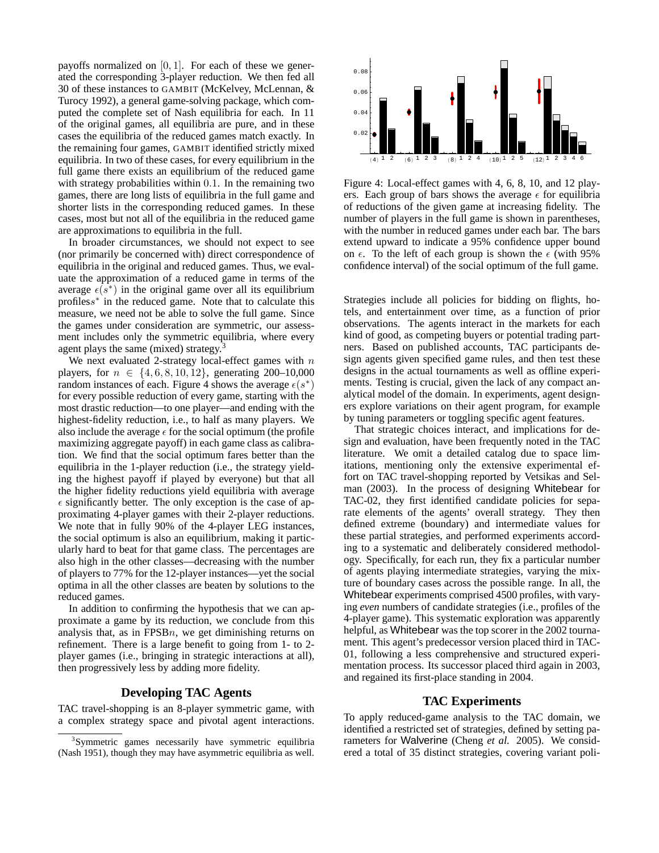payoffs normalized on  $[0, 1]$ . For each of these we generated the corresponding 3-player reduction. We then fed all 30 of these instances to GAMBIT (McKelvey, McLennan, & Turocy 1992), a general game-solving package, which computed the complete set of Nash equilibria for each. In 11 of the original games, all equilibria are pure, and in these cases the equilibria of the reduced games match exactly. In the remaining four games, GAMBIT identified strictly mixed equilibria. In two of these cases, for every equilibrium in the full game there exists an equilibrium of the reduced game with strategy probabilities within 0.1. In the remaining two games, there are long lists of equilibria in the full game and shorter lists in the corresponding reduced games. In these cases, most but not all of the equilibria in the reduced game are approximations to equilibria in the full.

In broader circumstances, we should not expect to see (nor primarily be concerned with) direct correspondence of equilibria in the original and reduced games. Thus, we evaluate the approximation of a reduced game in terms of the average  $\epsilon(s^*)$  in the original game over all its equilibrium profiless<sup>\*</sup> in the reduced game. Note that to calculate this measure, we need not be able to solve the full game. Since the games under consideration are symmetric, our assessment includes only the symmetric equilibria, where every agent plays the same (mixed) strategy.<sup>3</sup>

We next evaluated 2-strategy local-effect games with  $n$ players, for  $n \in \{4, 6, 8, 10, 12\}$ , generating 200–10,000 random instances of each. Figure 4 shows the average  $\epsilon(s^*)$ for every possible reduction of every game, starting with the most drastic reduction—to one player—and ending with the highest-fidelity reduction, i.e., to half as many players. We also include the average  $\epsilon$  for the social optimum (the profile maximizing aggregate payoff) in each game class as calibration. We find that the social optimum fares better than the equilibria in the 1-player reduction (i.e., the strategy yielding the highest payoff if played by everyone) but that all the higher fidelity reductions yield equilibria with average  $\epsilon$  significantly better. The only exception is the case of approximating 4-player games with their 2-player reductions. We note that in fully 90% of the 4-player LEG instances, the social optimum is also an equilibrium, making it particularly hard to beat for that game class. The percentages are also high in the other classes—decreasing with the number of players to 77% for the 12-player instances—yet the social optima in all the other classes are beaten by solutions to the reduced games.

In addition to confirming the hypothesis that we can approximate a game by its reduction, we conclude from this analysis that, as in  $FPSBn$ , we get diminishing returns on refinement. There is a large benefit to going from 1- to 2 player games (i.e., bringing in strategic interactions at all), then progressively less by adding more fidelity.

# **Developing TAC Agents**

TAC travel-shopping is an 8-player symmetric game, with a complex strategy space and pivotal agent interactions.



Figure 4: Local-effect games with 4, 6, 8, 10, and 12 players. Each group of bars shows the average  $\epsilon$  for equilibria of reductions of the given game at increasing fidelity. The number of players in the full game is shown in parentheses, with the number in reduced games under each bar. The bars extend upward to indicate a 95% confidence upper bound on  $\epsilon$ . To the left of each group is shown the  $\epsilon$  (with 95% confidence interval) of the social optimum of the full game.

Strategies include all policies for bidding on flights, hotels, and entertainment over time, as a function of prior observations. The agents interact in the markets for each kind of good, as competing buyers or potential trading partners. Based on published accounts, TAC participants design agents given specified game rules, and then test these designs in the actual tournaments as well as offline experiments. Testing is crucial, given the lack of any compact analytical model of the domain. In experiments, agent designers explore variations on their agent program, for example by tuning parameters or toggling specific agent features.

That strategic choices interact, and implications for design and evaluation, have been frequently noted in the TAC literature. We omit a detailed catalog due to space limitations, mentioning only the extensive experimental effort on TAC travel-shopping reported by Vetsikas and Selman (2003). In the process of designing Whitebear for TAC-02, they first identified candidate policies for separate elements of the agents' overall strategy. They then defined extreme (boundary) and intermediate values for these partial strategies, and performed experiments according to a systematic and deliberately considered methodology. Specifically, for each run, they fix a particular number of agents playing intermediate strategies, varying the mixture of boundary cases across the possible range. In all, the Whitebear experiments comprised 4500 profiles, with varying *even* numbers of candidate strategies (i.e., profiles of the 4-player game). This systematic exploration was apparently helpful, as Whitebear was the top scorer in the 2002 tournament. This agent's predecessor version placed third in TAC-01, following a less comprehensive and structured experimentation process. Its successor placed third again in 2003, and regained its first-place standing in 2004.

### **TAC Experiments**

To apply reduced-game analysis to the TAC domain, we identified a restricted set of strategies, defined by setting parameters for Walverine (Cheng *et al.* 2005). We considered a total of 35 distinct strategies, covering variant poli-

<sup>&</sup>lt;sup>3</sup>Symmetric games necessarily have symmetric equilibria (Nash 1951), though they may have asymmetric equilibria as well.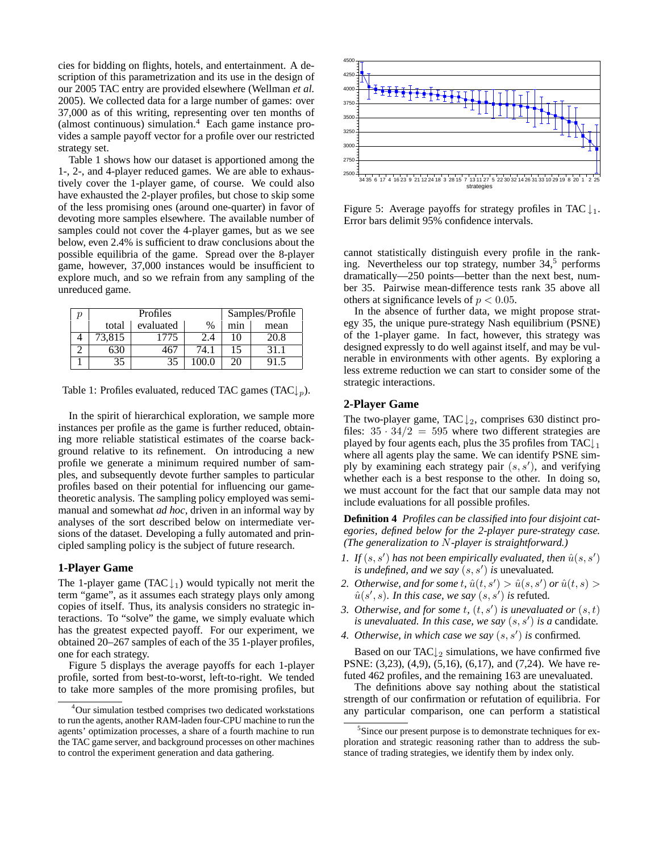cies for bidding on flights, hotels, and entertainment. A description of this parametrization and its use in the design of our 2005 TAC entry are provided elsewhere (Wellman *et al.* 2005). We collected data for a large number of games: over 37,000 as of this writing, representing over ten months of (almost continuous) simulation.<sup>4</sup> Each game instance provides a sample payoff vector for a profile over our restricted strategy set.

Table 1 shows how our dataset is apportioned among the 1-, 2-, and 4-player reduced games. We are able to exhaustively cover the 1-player game, of course. We could also have exhausted the 2-player profiles, but chose to skip some of the less promising ones (around one-quarter) in favor of devoting more samples elsewhere. The available number of samples could not cover the 4-player games, but as we see below, even 2.4% is sufficient to draw conclusions about the possible equilibria of the game. Spread over the 8-player game, however, 37,000 instances would be insufficient to explore much, and so we refrain from any sampling of the unreduced game.

| Profiles |           |               | Samples/Profile |      |
|----------|-----------|---------------|-----------------|------|
| total    | evaluated | $\frac{0}{0}$ | min             | mean |
| 73,815   | 1775      |               | 10              | 20.8 |
|          | 16.       | 74.1          |                 | 31.1 |
| 35       |           |               |                 |      |

Table 1: Profiles evaluated, reduced TAC games (TAC $\downarrow_p$ ).

In the spirit of hierarchical exploration, we sample more instances per profile as the game is further reduced, obtaining more reliable statistical estimates of the coarse background relative to its refinement. On introducing a new profile we generate a minimum required number of samples, and subsequently devote further samples to particular profiles based on their potential for influencing our gametheoretic analysis. The sampling policy employed was semimanual and somewhat *ad hoc*, driven in an informal way by analyses of the sort described below on intermediate versions of the dataset. Developing a fully automated and principled sampling policy is the subject of future research.

### **1-Player Game**

The 1-player game (TAC  $\downarrow$ <sub>1</sub>) would typically not merit the term "game", as it assumes each strategy plays only among copies of itself. Thus, its analysis considers no strategic interactions. To "solve" the game, we simply evaluate which has the greatest expected payoff. For our experiment, we obtained 20–267 samples of each of the 35 1-player profiles, one for each strategy.

Figure 5 displays the average payoffs for each 1-player profile, sorted from best-to-worst, left-to-right. We tended to take more samples of the more promising profiles, but



Figure 5: Average payoffs for strategy profiles in TAC  $\downarrow_1$ . Error bars delimit 95% confidence intervals.

cannot statistically distinguish every profile in the ranking. Nevertheless our top strategy, number  $34<sup>5</sup>$  performs dramatically—250 points—better than the next best, number 35. Pairwise mean-difference tests rank 35 above all others at significance levels of  $p < 0.05$ .

In the absence of further data, we might propose strategy 35, the unique pure-strategy Nash equilibrium (PSNE) of the 1-player game. In fact, however, this strategy was designed expressly to do well against itself, and may be vulnerable in environments with other agents. By exploring a less extreme reduction we can start to consider some of the strategic interactions.

### **2-Player Game**

The two-player game, TAC  $\downarrow$ <sub>2</sub>, comprises 630 distinct profiles:  $35 \cdot 34/2 = 595$  where two different strategies are played by four agents each, plus the 35 profiles from TAC $\downarrow$ <sub>1</sub> where all agents play the same. We can identify PSNE simply by examining each strategy pair  $(s, s')$ , and verifying whether each is a best response to the other. In doing so, we must account for the fact that our sample data may not include evaluations for all possible profiles.

**Definition 4** *Profiles can be classified into four disjoint categories, defined below for the 2-player pure-strategy case. (The generalization to* N*-player is straightforward.)*

- *1. If*  $(s, s')$  *has not been empirically evaluated, then*  $\hat{u}(s, s')$ is *undefined, and we say*  $(s, s')$  *is* unevaluated.
- 2. *Otherwise, and for some t,*  $\hat{u}(t, s') > \hat{u}(s, s')$  *or*  $\hat{u}(t, s) >$  $\hat{u}(s', s)$ *. In this case, we say*  $(s, s')$  *is refuted.*
- 3. Otherwise, and for some  $t$ ,  $(t, s')$  is unevaluated or  $(s, t)$ is *unevaluated.* In this case, we say  $(s, s')$  is a candidate.
- *4. Otherwise, in which case we say* (s, s 0 ) *is* confirmed*.*

Based on our TAC $\downarrow$ <sub>2</sub> simulations, we have confirmed five PSNE: (3,23), (4,9), (5,16), (6,17), and (7,24). We have refuted 462 profiles, and the remaining 163 are unevaluated.

The definitions above say nothing about the statistical strength of our confirmation or refutation of equilibria. For any particular comparison, one can perform a statistical

<sup>4</sup>Our simulation testbed comprises two dedicated workstations to run the agents, another RAM-laden four-CPU machine to run the agents' optimization processes, a share of a fourth machine to run the TAC game server, and background processes on other machines to control the experiment generation and data gathering.

<sup>&</sup>lt;sup>5</sup>Since our present purpose is to demonstrate techniques for exploration and strategic reasoning rather than to address the substance of trading strategies, we identify them by index only.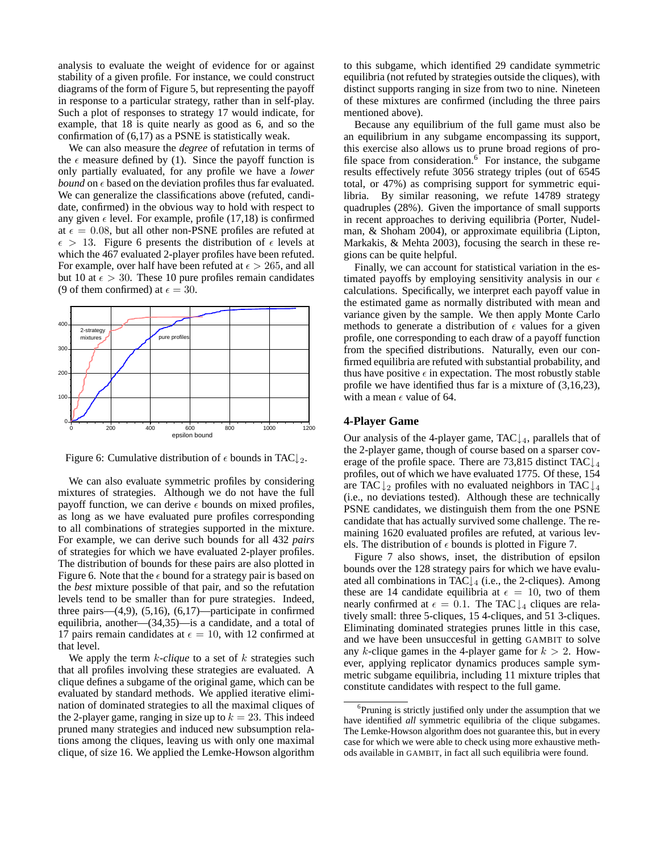analysis to evaluate the weight of evidence for or against stability of a given profile. For instance, we could construct diagrams of the form of Figure 5, but representing the payoff in response to a particular strategy, rather than in self-play. Such a plot of responses to strategy 17 would indicate, for example, that 18 is quite nearly as good as 6, and so the confirmation of (6,17) as a PSNE is statistically weak.

We can also measure the *degree* of refutation in terms of the  $\epsilon$  measure defined by (1). Since the payoff function is only partially evaluated, for any profile we have a *lower bound* on  $\epsilon$  based on the deviation profiles thus far evaluated. We can generalize the classifications above (refuted, candidate, confirmed) in the obvious way to hold with respect to any given  $\epsilon$  level. For example, profile (17,18) is confirmed at  $\epsilon = 0.08$ , but all other non-PSNE profiles are refuted at  $\epsilon > 13$ . Figure 6 presents the distribution of  $\epsilon$  levels at which the 467 evaluated 2-player profiles have been refuted. For example, over half have been refuted at  $\epsilon > 265$ , and all but 10 at  $\epsilon > 30$ . These 10 pure profiles remain candidates (9 of them confirmed) at  $\epsilon = 30$ .



Figure 6: Cumulative distribution of  $\epsilon$  bounds in TAC $\downarrow$ <sub>2</sub>.

We can also evaluate symmetric profiles by considering mixtures of strategies. Although we do not have the full payoff function, we can derive  $\epsilon$  bounds on mixed profiles, as long as we have evaluated pure profiles corresponding to all combinations of strategies supported in the mixture. For example, we can derive such bounds for all 432 *pairs* of strategies for which we have evaluated 2-player profiles. The distribution of bounds for these pairs are also plotted in Figure 6. Note that the  $\epsilon$  bound for a strategy pair is based on the *best* mixture possible of that pair, and so the refutation levels tend to be smaller than for pure strategies. Indeed, three pairs— $(4,9)$ ,  $(5,16)$ ,  $(6,17)$ —participate in confirmed equilibria, another—(34,35)—is a candidate, and a total of 17 pairs remain candidates at  $\epsilon = 10$ , with 12 confirmed at that level.

We apply the term *k*-*clique* to a set of *k* strategies such that all profiles involving these strategies are evaluated. A clique defines a subgame of the original game, which can be evaluated by standard methods. We applied iterative elimination of dominated strategies to all the maximal cliques of the 2-player game, ranging in size up to  $k = 23$ . This indeed pruned many strategies and induced new subsumption relations among the cliques, leaving us with only one maximal clique, of size 16. We applied the Lemke-Howson algorithm to this subgame, which identified 29 candidate symmetric equilibria (not refuted by strategies outside the cliques), with distinct supports ranging in size from two to nine. Nineteen of these mixtures are confirmed (including the three pairs mentioned above).

Because any equilibrium of the full game must also be an equilibrium in any subgame encompassing its support, this exercise also allows us to prune broad regions of profile space from consideration. $6<sup>-</sup>$  For instance, the subgame results effectively refute 3056 strategy triples (out of 6545 total, or 47%) as comprising support for symmetric equilibria. By similar reasoning, we refute 14789 strategy quadruples (28%). Given the importance of small supports in recent approaches to deriving equilibria (Porter, Nudelman, & Shoham 2004), or approximate equilibria (Lipton, Markakis, & Mehta 2003), focusing the search in these regions can be quite helpful.

Finally, we can account for statistical variation in the estimated payoffs by employing sensitivity analysis in our  $\epsilon$ calculations. Specifically, we interpret each payoff value in the estimated game as normally distributed with mean and variance given by the sample. We then apply Monte Carlo methods to generate a distribution of  $\epsilon$  values for a given profile, one corresponding to each draw of a payoff function from the specified distributions. Naturally, even our confirmed equilibria are refuted with substantial probability, and thus have positive  $\epsilon$  in expectation. The most robustly stable profile we have identified thus far is a mixture of (3,16,23), with a mean  $\epsilon$  value of 64.

# **4-Player Game**

Our analysis of the 4-player game, TAC $\downarrow$ <sub>4</sub>, parallels that of the 2-player game, though of course based on a sparser coverage of the profile space. There are 73,815 distinct TAC $\downarrow$ <sub>4</sub> profiles, out of which we have evaluated 1775. Of these, 154 are TAC  $\downarrow_2$  profiles with no evaluated neighbors in TAC  $\downarrow_4$ (i.e., no deviations tested). Although these are technically PSNE candidates, we distinguish them from the one PSNE candidate that has actually survived some challenge. The remaining 1620 evaluated profiles are refuted, at various levels. The distribution of  $\epsilon$  bounds is plotted in Figure 7.

Figure 7 also shows, inset, the distribution of epsilon bounds over the 128 strategy pairs for which we have evaluated all combinations in TAC↓<sup>4</sup> (i.e., the 2-cliques). Among these are 14 candidate equilibria at  $\epsilon = 10$ , two of them nearly confirmed at  $\epsilon = 0.1$ . The TAC  $\downarrow$ <sub>4</sub> cliques are relatively small: three 5-cliques, 15 4-cliques, and 51 3-cliques. Eliminating dominated strategies prunes little in this case, and we have been unsuccesful in getting GAMBIT to solve any k-clique games in the 4-player game for  $k > 2$ . However, applying replicator dynamics produces sample symmetric subgame equilibria, including 11 mixture triples that constitute candidates with respect to the full game.

<sup>6</sup> Pruning is strictly justified only under the assumption that we have identified *all* symmetric equilibria of the clique subgames. The Lemke-Howson algorithm does not guarantee this, but in every case for which we were able to check using more exhaustive methods available in GAMBIT, in fact all such equilibria were found.